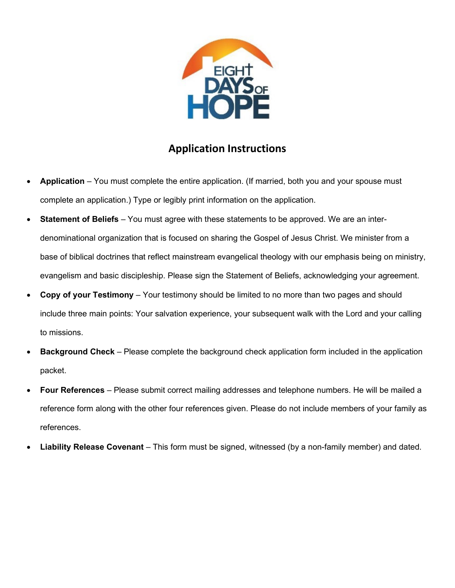

### **Application Instructions**

- **Application** You must complete the entire application. (If married, both you and your spouse must complete an application.) Type or legibly print information on the application.
- **Statement of Beliefs** You must agree with these statements to be approved. We are an interdenominational organization that is focused on sharing the Gospel of Jesus Christ. We minister from a base of biblical doctrines that reflect mainstream evangelical theology with our emphasis being on ministry, evangelism and basic discipleship. Please sign the Statement of Beliefs, acknowledging your agreement.
- **Copy of your Testimony** Your testimony should be limited to no more than two pages and should include three main points: Your salvation experience, your subsequent walk with the Lord and your calling to missions.
- **Background Check**  Please complete the background check application form included in the application packet.
- **Four References**  Please submit correct mailing addresses and telephone numbers. He will be mailed a reference form along with the other four references given. Please do not include members of your family as references.
- **Liability Release Covenant**  This form must be signed, witnessed (by a non-family member) and dated.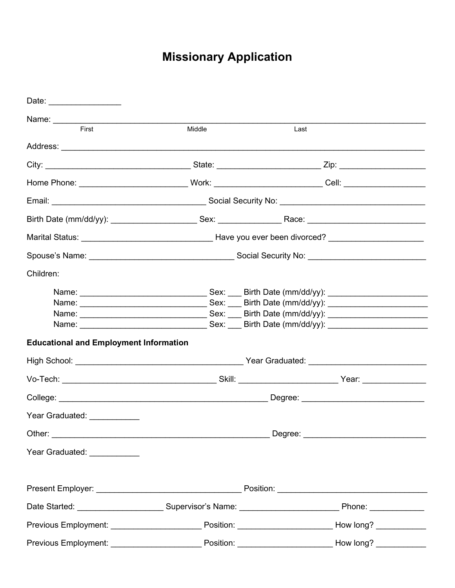# **Missionary Application**

| Date: __________________                      |        |                                                                                                                 |
|-----------------------------------------------|--------|-----------------------------------------------------------------------------------------------------------------|
|                                               |        |                                                                                                                 |
| First                                         | Middle | Last                                                                                                            |
|                                               |        |                                                                                                                 |
|                                               |        |                                                                                                                 |
|                                               |        |                                                                                                                 |
|                                               |        |                                                                                                                 |
|                                               |        |                                                                                                                 |
|                                               |        |                                                                                                                 |
|                                               |        |                                                                                                                 |
| Children:                                     |        |                                                                                                                 |
| <b>Educational and Employment Information</b> |        |                                                                                                                 |
|                                               |        |                                                                                                                 |
| Year Graduated: ___________                   |        |                                                                                                                 |
|                                               |        |                                                                                                                 |
| Year Graduated: ____________                  |        |                                                                                                                 |
|                                               |        |                                                                                                                 |
|                                               |        |                                                                                                                 |
|                                               |        | Previous Employment: ________________________________Position: ___________________________How long? ___________ |
|                                               |        | Previous Employment: ________________________________Position: ___________________________How long? ___________ |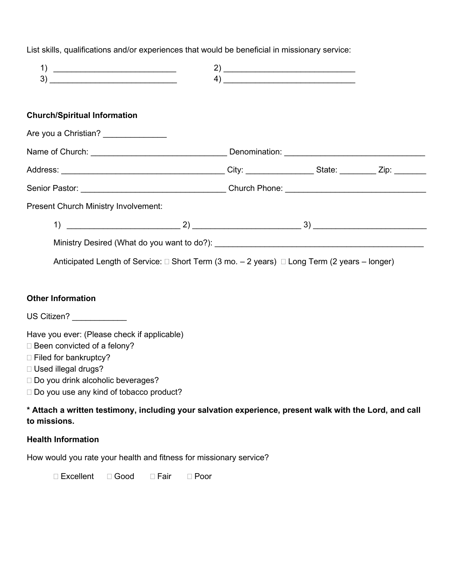List skills, qualifications and/or experiences that would be beneficial in missionary service:

| 1)                                                                                                                                                                                                                   |  | $\left( \begin{array}{ccc} 4) & \begin{array}{ccc} \end{array} & \end{array} \right)$ |  |
|----------------------------------------------------------------------------------------------------------------------------------------------------------------------------------------------------------------------|--|---------------------------------------------------------------------------------------|--|
| <b>Church/Spiritual Information</b>                                                                                                                                                                                  |  |                                                                                       |  |
| Are you a Christian? _____________                                                                                                                                                                                   |  |                                                                                       |  |
|                                                                                                                                                                                                                      |  |                                                                                       |  |
|                                                                                                                                                                                                                      |  |                                                                                       |  |
|                                                                                                                                                                                                                      |  |                                                                                       |  |
| Present Church Ministry Involvement:                                                                                                                                                                                 |  |                                                                                       |  |
|                                                                                                                                                                                                                      |  |                                                                                       |  |
|                                                                                                                                                                                                                      |  |                                                                                       |  |
| Anticipated Length of Service: $\Box$ Short Term (3 mo. - 2 years) $\Box$ Long Term (2 years - longer)                                                                                                               |  |                                                                                       |  |
|                                                                                                                                                                                                                      |  |                                                                                       |  |
| <b>Other Information</b>                                                                                                                                                                                             |  |                                                                                       |  |
| US Citizen? ____________                                                                                                                                                                                             |  |                                                                                       |  |
| Have you ever: (Please check if applicable)<br>□ Been convicted of a felony?<br>□ Filed for bankruptcy?<br>□ Used illegal drugs?<br>□ Do you drink alcoholic beverages?<br>□ Do you use any kind of tobacco product? |  |                                                                                       |  |
| * Attach a written testimony, including your salvation experience, present walk with the Lord, and call<br>to missions.                                                                                              |  |                                                                                       |  |

#### **Health Information**

How would you rate your health and fitness for missionary service?

□ Excellent □ Good □ Fair □ Poor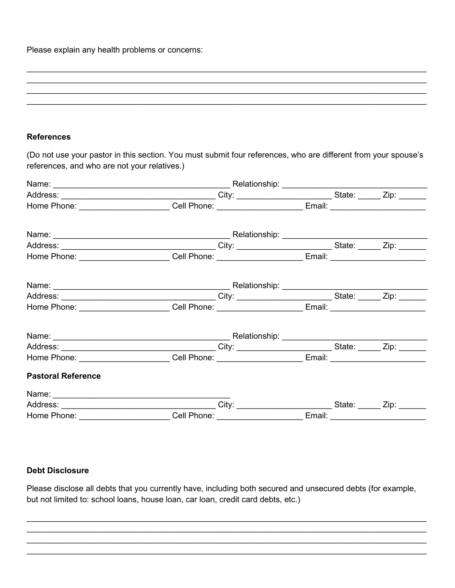Please explain any health problems or concerns:

#### **References**

(Do not use your pastor in this section. You must submit four references, who are different from your spouse's references, and who are not your relatives.)

|                                                                                                           | Home Phone: ________________________Cell Phone: ________________________Email: _______________________________ |  |  |
|-----------------------------------------------------------------------------------------------------------|----------------------------------------------------------------------------------------------------------------|--|--|
|                                                                                                           |                                                                                                                |  |  |
|                                                                                                           |                                                                                                                |  |  |
| Home Phone: ________________________Cell Phone: ________________________Email: __________________________ |                                                                                                                |  |  |
|                                                                                                           |                                                                                                                |  |  |
|                                                                                                           |                                                                                                                |  |  |
| Home Phone: ________________________Cell Phone: _______________________Email: ___________________________ |                                                                                                                |  |  |
|                                                                                                           |                                                                                                                |  |  |
|                                                                                                           |                                                                                                                |  |  |
| Home Phone: ________________________Cell Phone: ________________________Email: __________________________ |                                                                                                                |  |  |
| <b>Pastoral Reference</b>                                                                                 |                                                                                                                |  |  |
|                                                                                                           |                                                                                                                |  |  |
|                                                                                                           |                                                                                                                |  |  |
| Home Phone: ________________________Cell Phone: ________________________Email: __________________________ |                                                                                                                |  |  |

#### **Debt Disclosure**

Please disclose all debts that you currently have, including both secured and unsecured debts (for example, but not limited to: school loans, house loan, car loan, credit card debts, etc.)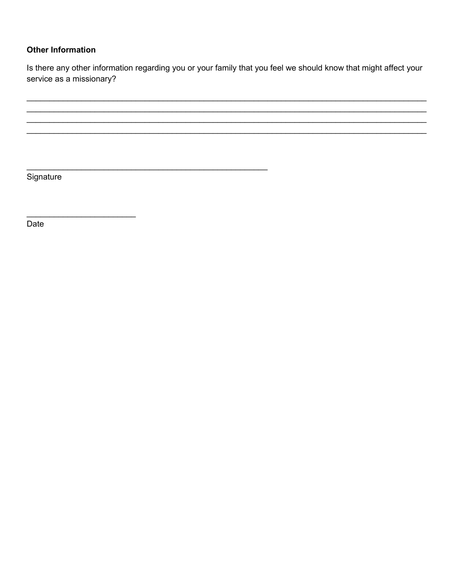#### **Other Information**

Is there any other information regarding you or your family that you feel we should know that might affect your service as a missionary?

Signature

Date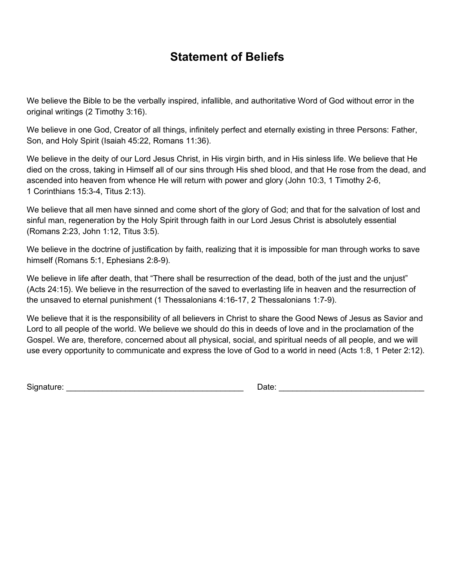## **Statement of Beliefs**

We believe the Bible to be the verbally inspired, infallible, and authoritative Word of God without error in the original writings (2 Timothy 3:16).

We believe in one God, Creator of all things, infinitely perfect and eternally existing in three Persons: Father, Son, and Holy Spirit (Isaiah 45:22, Romans 11:36).

We believe in the deity of our Lord Jesus Christ, in His virgin birth, and in His sinless life. We believe that He died on the cross, taking in Himself all of our sins through His shed blood, and that He rose from the dead, and ascended into heaven from whence He will return with power and glory (John 10:3, 1 Timothy 2-6, 1 Corinthians 15:3-4, Titus 2:13).

We believe that all men have sinned and come short of the glory of God; and that for the salvation of lost and sinful man, regeneration by the Holy Spirit through faith in our Lord Jesus Christ is absolutely essential (Romans 2:23, John 1:12, Titus 3:5).

We believe in the doctrine of justification by faith, realizing that it is impossible for man through works to save himself (Romans 5:1, Ephesians 2:8-9).

We believe in life after death, that "There shall be resurrection of the dead, both of the just and the unjust" (Acts 24:15). We believe in the resurrection of the saved to everlasting life in heaven and the resurrection of the unsaved to eternal punishment (1 Thessalonians 4:16-17, 2 Thessalonians 1:7-9).

We believe that it is the responsibility of all believers in Christ to share the Good News of Jesus as Savior and Lord to all people of the world. We believe we should do this in deeds of love and in the proclamation of the Gospel. We are, therefore, concerned about all physical, social, and spiritual needs of all people, and we will use every opportunity to communicate and express the love of God to a world in need (Acts 1:8, 1 Peter 2:12).

Signature: \_\_\_\_\_\_\_\_\_\_\_\_\_\_\_\_\_\_\_\_\_\_\_\_\_\_\_\_\_\_\_\_\_\_\_\_\_\_\_ Date: \_\_\_\_\_\_\_\_\_\_\_\_\_\_\_\_\_\_\_\_\_\_\_\_\_\_\_\_\_\_\_\_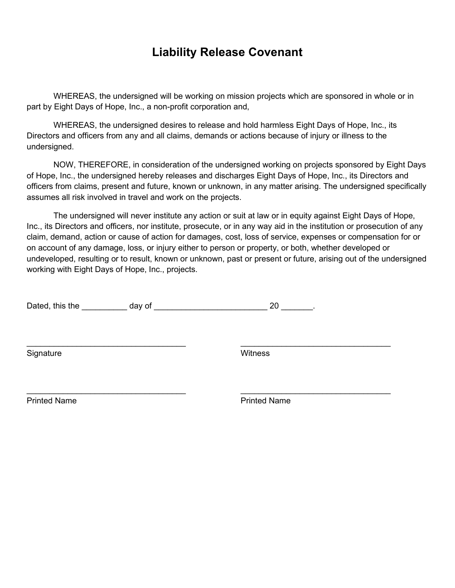## **Liability Release Covenant**

WHEREAS, the undersigned will be working on mission projects which are sponsored in whole or in part by Eight Days of Hope, Inc., a non-profit corporation and,

WHEREAS, the undersigned desires to release and hold harmless Eight Days of Hope, Inc., its Directors and officers from any and all claims, demands or actions because of injury or illness to the undersigned.

NOW, THEREFORE, in consideration of the undersigned working on projects sponsored by Eight Days of Hope, Inc., the undersigned hereby releases and discharges Eight Days of Hope, Inc., its Directors and officers from claims, present and future, known or unknown, in any matter arising. The undersigned specifically assumes all risk involved in travel and work on the projects.

The undersigned will never institute any action or suit at law or in equity against Eight Days of Hope, Inc., its Directors and officers, nor institute, prosecute, or in any way aid in the institution or prosecution of any claim, demand, action or cause of action for damages, cost, loss of service, expenses or compensation for or on account of any damage, loss, or injury either to person or property, or both, whether developed or undeveloped, resulting or to result, known or unknown, past or present or future, arising out of the undersigned working with Eight Days of Hope, Inc., projects.

 $\_$  , and the contribution of the contribution of  $\mathcal{L}_\mathcal{A}$  , and the contribution of  $\mathcal{L}_\mathcal{A}$ 

 $\_$  , and the contribution of the contribution of  $\mathcal{L}_\mathcal{A}$  , and the contribution of  $\mathcal{L}_\mathcal{A}$ 

| Dated, this the<br>dav of | " |
|---------------------------|---|
|---------------------------|---|

Signature Witness

Printed Name **Printed Name** Printed Name **Printed Name**